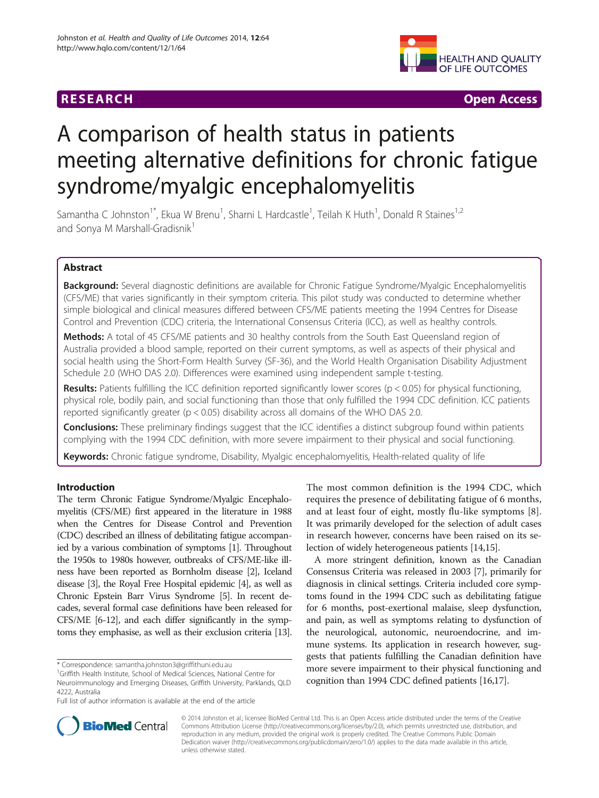## **RESEARCH RESEARCH** *CHECKER CHECKER CHECKER CHECKER CHECKER CHECKER CHECKER CHECKER CHECKER CHECKER CHECKER*



# A comparison of health status in patients meeting alternative definitions for chronic fatigue syndrome/myalgic encephalomyelitis

Samantha C Johnston<sup>1\*</sup>, Ekua W Brenu<sup>1</sup>, Sharni L Hardcastle<sup>1</sup>, Teilah K Huth<sup>1</sup>, Donald R Staines<sup>1,2</sup> and Sonya M Marshall-Gradisnik<sup>1</sup>

## Abstract

Background: Several diagnostic definitions are available for Chronic Fatigue Syndrome/Myalgic Encephalomyelitis (CFS/ME) that varies significantly in their symptom criteria. This pilot study was conducted to determine whether simple biological and clinical measures differed between CFS/ME patients meeting the 1994 Centres for Disease Control and Prevention (CDC) criteria, the International Consensus Criteria (ICC), as well as healthy controls.

Methods: A total of 45 CFS/ME patients and 30 healthy controls from the South East Queensland region of Australia provided a blood sample, reported on their current symptoms, as well as aspects of their physical and social health using the Short-Form Health Survey (SF-36), and the World Health Organisation Disability Adjustment Schedule 2.0 (WHO DAS 2.0). Differences were examined using independent sample t-testing.

**Results:** Patients fulfilling the ICC definition reported significantly lower scores ( $p < 0.05$ ) for physical functioning, physical role, bodily pain, and social functioning than those that only fulfilled the 1994 CDC definition. ICC patients reported significantly greater (p < 0.05) disability across all domains of the WHO DAS 2.0.

**Conclusions:** These preliminary findings suggest that the ICC identifies a distinct subgroup found within patients complying with the 1994 CDC definition, with more severe impairment to their physical and social functioning.

Keywords: Chronic fatigue syndrome, Disability, Myalgic encephalomyelitis, Health-related quality of life

## Introduction

The term Chronic Fatigue Syndrome/Myalgic Encephalomyelitis (CFS/ME) first appeared in the literature in 1988 when the Centres for Disease Control and Prevention (CDC) described an illness of debilitating fatigue accompanied by a various combination of symptoms [[1](#page-5-0)]. Throughout the 1950s to 1980s however, outbreaks of CFS/ME-like illness have been reported as Bornholm disease [[2](#page-5-0)], Iceland disease [\[3\]](#page-5-0), the Royal Free Hospital epidemic [\[4](#page-5-0)], as well as Chronic Epstein Barr Virus Syndrome [\[5\]](#page-5-0). In recent decades, several formal case definitions have been released for CFS/ME [\[6-12\]](#page-5-0), and each differ significantly in the symptoms they emphasise, as well as their exclusion criteria [\[13](#page-5-0)].

The most common definition is the 1994 CDC, which requires the presence of debilitating fatigue of 6 months, and at least four of eight, mostly flu-like symptoms [\[8](#page-5-0)]. It was primarily developed for the selection of adult cases in research however, concerns have been raised on its selection of widely heterogeneous patients [[14,15](#page-5-0)].

A more stringent definition, known as the Canadian Consensus Criteria was released in 2003 [\[7](#page-5-0)], primarily for diagnosis in clinical settings. Criteria included core symptoms found in the 1994 CDC such as debilitating fatigue for 6 months, post-exertional malaise, sleep dysfunction, and pain, as well as symptoms relating to dysfunction of the neurological, autonomic, neuroendocrine, and immune systems. Its application in research however, suggests that patients fulfilling the Canadian definition have more severe impairment to their physical functioning and cognition than 1994 CDC defined patients [[16](#page-5-0),[17](#page-5-0)].



© 2014 Johnston et al.; licensee BioMed Central Ltd. This is an Open Access article distributed under the terms of the Creative Commons Attribution License [\(http://creativecommons.org/licenses/by/2.0\)](http://creativecommons.org/licenses/by/2.0), which permits unrestricted use, distribution, and reproduction in any medium, provided the original work is properly credited. The Creative Commons Public Domain Dedication waiver [\(http://creativecommons.org/publicdomain/zero/1.0/](http://creativecommons.org/publicdomain/zero/1.0/)) applies to the data made available in this article, unless otherwise stated.

<sup>\*</sup> Correspondence: [samantha.johnston3@griffithuni.edu.au](mailto:samantha.johnston3@griffithuni.edu.au) <sup>1</sup>

<sup>&</sup>lt;sup>1</sup>Griffith Health Institute, School of Medical Sciences, National Centre for Neuroimmunology and Emerging Diseases, Griffith University, Parklands, QLD 4222, Australia

Full list of author information is available at the end of the article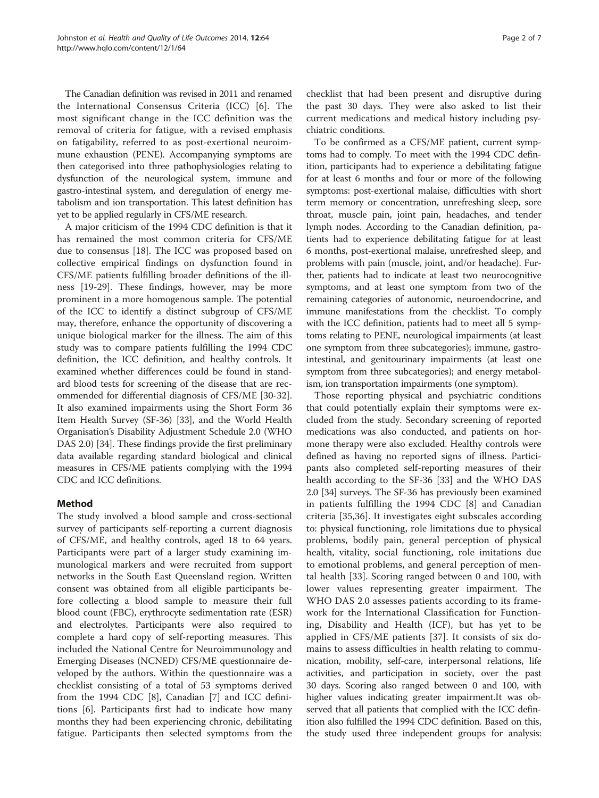The Canadian definition was revised in 2011 and renamed the International Consensus Criteria (ICC) [[6\]](#page-5-0). The most significant change in the ICC definition was the removal of criteria for fatigue, with a revised emphasis on fatigability, referred to as post-exertional neuroimmune exhaustion (PENE). Accompanying symptoms are then categorised into three pathophysiologies relating to dysfunction of the neurological system, immune and gastro-intestinal system, and deregulation of energy metabolism and ion transportation. This latest definition has yet to be applied regularly in CFS/ME research.

A major criticism of the 1994 CDC definition is that it has remained the most common criteria for CFS/ME due to consensus [\[18\]](#page-5-0). The ICC was proposed based on collective empirical findings on dysfunction found in CFS/ME patients fulfilling broader definitions of the illness [\[19](#page-5-0)-[29](#page-5-0)]. These findings, however, may be more prominent in a more homogenous sample. The potential of the ICC to identify a distinct subgroup of CFS/ME may, therefore, enhance the opportunity of discovering a unique biological marker for the illness. The aim of this study was to compare patients fulfilling the 1994 CDC definition, the ICC definition, and healthy controls. It examined whether differences could be found in standard blood tests for screening of the disease that are recommended for differential diagnosis of CFS/ME [\[30-32](#page-5-0)]. It also examined impairments using the Short Form 36 Item Health Survey (SF-36) [[33](#page-5-0)], and the World Health Organisation's Disability Adjustment Schedule 2.0 (WHO DAS 2.0) [\[34\]](#page-5-0). These findings provide the first preliminary data available regarding standard biological and clinical measures in CFS/ME patients complying with the 1994 CDC and ICC definitions.

## Method

The study involved a blood sample and cross-sectional survey of participants self-reporting a current diagnosis of CFS/ME, and healthy controls, aged 18 to 64 years. Participants were part of a larger study examining immunological markers and were recruited from support networks in the South East Queensland region. Written consent was obtained from all eligible participants before collecting a blood sample to measure their full blood count (FBC), erythrocyte sedimentation rate (ESR) and electrolytes. Participants were also required to complete a hard copy of self-reporting measures. This included the National Centre for Neuroimmunology and Emerging Diseases (NCNED) CFS/ME questionnaire developed by the authors. Within the questionnaire was a checklist consisting of a total of 53 symptoms derived from the 1994 CDC [\[8](#page-5-0)], Canadian [\[7\]](#page-5-0) and ICC definitions [\[6\]](#page-5-0). Participants first had to indicate how many months they had been experiencing chronic, debilitating fatigue. Participants then selected symptoms from the checklist that had been present and disruptive during the past 30 days. They were also asked to list their current medications and medical history including psychiatric conditions.

To be confirmed as a CFS/ME patient, current symptoms had to comply. To meet with the 1994 CDC definition, participants had to experience a debilitating fatigue for at least 6 months and four or more of the following symptoms: post-exertional malaise, difficulties with short term memory or concentration, unrefreshing sleep, sore throat, muscle pain, joint pain, headaches, and tender lymph nodes. According to the Canadian definition, patients had to experience debilitating fatigue for at least 6 months, post-exertional malaise, unrefreshed sleep, and problems with pain (muscle, joint, and/or headache). Further, patients had to indicate at least two neurocognitive symptoms, and at least one symptom from two of the remaining categories of autonomic, neuroendocrine, and immune manifestations from the checklist. To comply with the ICC definition, patients had to meet all 5 symptoms relating to PENE, neurological impairments (at least one symptom from three subcategories); immune, gastrointestinal, and genitourinary impairments (at least one symptom from three subcategories); and energy metabolism, ion transportation impairments (one symptom).

Those reporting physical and psychiatric conditions that could potentially explain their symptoms were excluded from the study. Secondary screening of reported medications was also conducted, and patients on hormone therapy were also excluded. Healthy controls were defined as having no reported signs of illness. Participants also completed self-reporting measures of their health according to the SF-36 [\[33](#page-5-0)] and the WHO DAS 2.0 [[34](#page-5-0)] surveys. The SF-36 has previously been examined in patients fulfilling the 1994 CDC [\[8](#page-5-0)] and Canadian criteria [[35,](#page-5-0)[36\]](#page-6-0). It investigates eight subscales according to: physical functioning, role limitations due to physical problems, bodily pain, general perception of physical health, vitality, social functioning, role imitations due to emotional problems, and general perception of mental health [[33\]](#page-5-0). Scoring ranged between 0 and 100, with lower values representing greater impairment. The WHO DAS 2.0 assesses patients according to its framework for the International Classification for Functioning, Disability and Health (ICF), but has yet to be applied in CFS/ME patients [\[37](#page-6-0)]. It consists of six domains to assess difficulties in health relating to communication, mobility, self-care, interpersonal relations, life activities, and participation in society, over the past 30 days. Scoring also ranged between 0 and 100, with higher values indicating greater impairment.It was observed that all patients that complied with the ICC definition also fulfilled the 1994 CDC definition. Based on this, the study used three independent groups for analysis: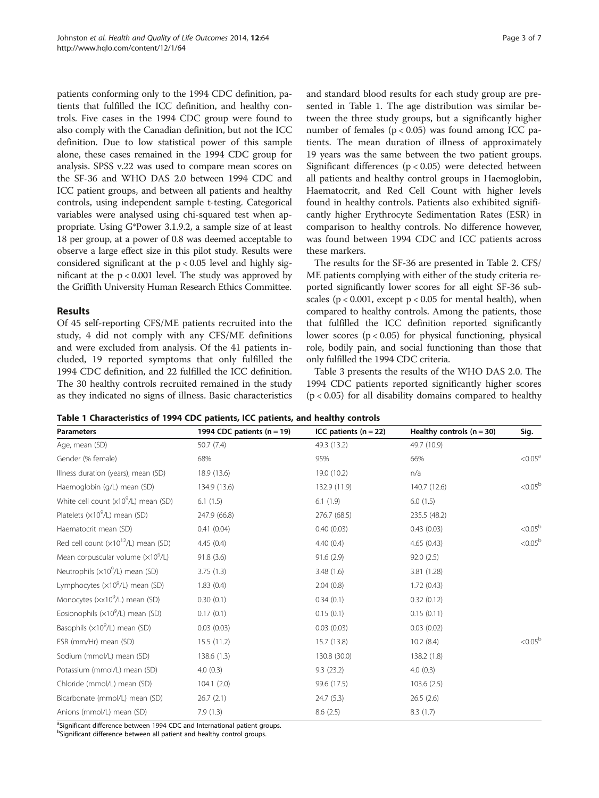patients conforming only to the 1994 CDC definition, patients that fulfilled the ICC definition, and healthy controls. Five cases in the 1994 CDC group were found to also comply with the Canadian definition, but not the ICC definition. Due to low statistical power of this sample alone, these cases remained in the 1994 CDC group for analysis. SPSS v.22 was used to compare mean scores on the SF-36 and WHO DAS 2.0 between 1994 CDC and ICC patient groups, and between all patients and healthy controls, using independent sample t-testing. Categorical variables were analysed using chi-squared test when appropriate. Using G\*Power 3.1.9.2, a sample size of at least 18 per group, at a power of 0.8 was deemed acceptable to observe a large effect size in this pilot study. Results were considered significant at the  $p < 0.05$  level and highly significant at the  $p < 0.001$  level. The study was approved by the Griffith University Human Research Ethics Committee.

## Results

Of 45 self-reporting CFS/ME patients recruited into the study, 4 did not comply with any CFS/ME definitions and were excluded from analysis. Of the 41 patients included, 19 reported symptoms that only fulfilled the 1994 CDC definition, and 22 fulfilled the ICC definition. The 30 healthy controls recruited remained in the study as they indicated no signs of illness. Basic characteristics

and standard blood results for each study group are presented in Table 1. The age distribution was similar between the three study groups, but a significantly higher number of females  $(p < 0.05)$  was found among ICC patients. The mean duration of illness of approximately 19 years was the same between the two patient groups. Significant differences ( $p < 0.05$ ) were detected between all patients and healthy control groups in Haemoglobin, Haematocrit, and Red Cell Count with higher levels found in healthy controls. Patients also exhibited significantly higher Erythrocyte Sedimentation Rates (ESR) in comparison to healthy controls. No difference however, was found between 1994 CDC and ICC patients across these markers.

The results for the SF-36 are presented in Table [2.](#page-3-0) CFS/ ME patients complying with either of the study criteria reported significantly lower scores for all eight SF-36 subscales ( $p < 0.001$ , except  $p < 0.05$  for mental health), when compared to healthy controls. Among the patients, those that fulfilled the ICC definition reported significantly lower scores  $(p < 0.05)$  for physical functioning, physical role, bodily pain, and social functioning than those that only fulfilled the 1994 CDC criteria.

Table [3](#page-3-0) presents the results of the WHO DAS 2.0. The 1994 CDC patients reported significantly higher scores  $(p < 0.05)$  for all disability domains compared to healthy

Table 1 Characteristics of 1994 CDC patients, ICC patients, and healthy controls

| <b>Parameters</b>                           | 1994 CDC patients $(n = 19)$ | ICC patients $(n = 22)$ | Healthy controls $(n = 30)$ | Sig.                |
|---------------------------------------------|------------------------------|-------------------------|-----------------------------|---------------------|
| Age, mean (SD)                              | 50.7 (7.4)                   | 49.3 (13.2)             | 49.7 (10.9)                 |                     |
| Gender (% female)                           | 68%                          | 95%                     | 66%                         | $< 0.05^{\circ}$    |
| Illness duration (years), mean (SD)         | 18.9 (13.6)                  | 19.0 (10.2)             | n/a                         |                     |
| Haemoglobin (g/L) mean (SD)                 | 134.9 (13.6)                 | 132.9 (11.9)            | 140.7 (12.6)                | $< 0.05^{\rm b}$    |
| White cell count $(x10^9/L)$ mean (SD)      | 6.1(1.5)                     | 6.1(1.9)                | 6.0(1.5)                    |                     |
| Platelets ( $\times 10^9$ /L) mean (SD)     | 247.9 (66.8)                 | 276.7 (68.5)            | 235.5 (48.2)                |                     |
| Haematocrit mean (SD)                       | 0.41(0.04)                   | 0.40(0.03)              | 0.43(0.03)                  | $< 0.05^{\rm b}$    |
| Red cell count $(x10^{12}/L)$ mean (SD)     | 4.45(0.4)                    | 4.40(0.4)               | 4.65(0.43)                  | $< 0.05^{\rm b}$    |
| Mean corpuscular volume $(x109/L)$          | 91.8(3.6)                    | 91.6(2.9)               | 92.0(2.5)                   |                     |
| Neutrophils (x10 <sup>9</sup> /L) mean (SD) | 3.75(1.3)                    | 3.48(1.6)               | 3.81 (1.28)                 |                     |
| Lymphocytes $(x10^9/L)$ mean (SD)           | 1.83(0.4)                    | 2.04(0.8)               | 1.72(0.43)                  |                     |
| Monocytes (xx10 <sup>9</sup> /L) mean (SD)  | 0.30(0.1)                    | 0.34(0.1)               | 0.32(0.12)                  |                     |
| Eosionophils $(x10^9/L)$ mean (SD)          | 0.17(0.1)                    | 0.15(0.1)               | 0.15(0.11)                  |                     |
| Basophils $(x10^9/L)$ mean (SD)             | 0.03(0.03)                   | 0.03(0.03)              | 0.03(0.02)                  |                     |
| ESR (mm/Hr) mean (SD)                       | 15.5(11.2)                   | 15.7 (13.8)             | 10.2(8.4)                   | < 0.05 <sup>b</sup> |
| Sodium (mmol/L) mean (SD)                   | 138.6(1.3)                   | 130.8 (30.0)            | 138.2 (1.8)                 |                     |
| Potassium (mmol/L) mean (SD)                | 4.0(0.3)                     | 9.3(23.2)               | 4.0(0.3)                    |                     |
| Chloride (mmol/L) mean (SD)                 | 104.1(2.0)                   | 99.6 (17.5)             | 103.6(2.5)                  |                     |
| Bicarbonate (mmol/L) mean (SD)              | 26.7(2.1)                    | 24.7 (5.3)              | 26.5(2.6)                   |                     |
| Anions (mmol/L) mean (SD)                   | 7.9(1.3)                     | 8.6(2.5)                | 8.3(1.7)                    |                     |

<sup>a</sup>Significant difference between 1994 CDC and International patient groups.

<sup>b</sup>Significant difference between all patient and healthy control groups.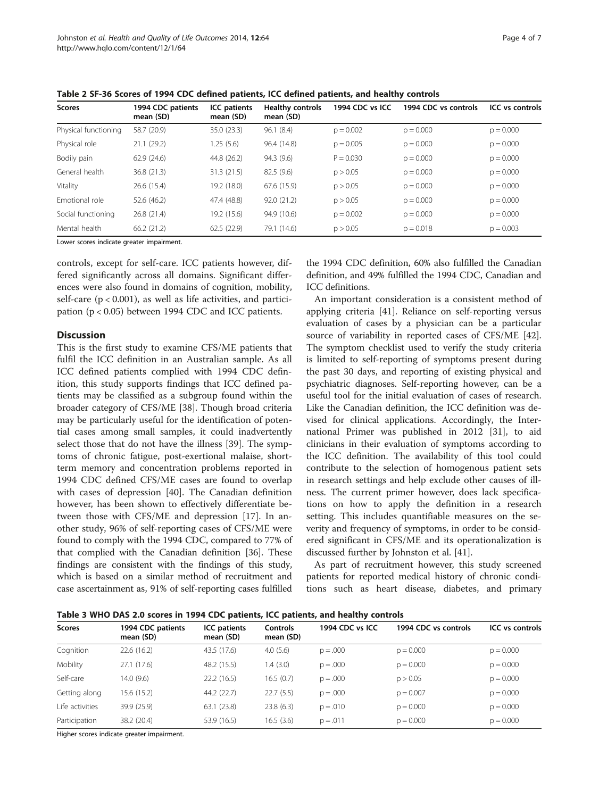| <b>Scores</b>        | 1994 CDC patients<br>mean (SD) | <b>ICC</b> patients<br>mean (SD) | <b>Healthy controls</b><br>mean (SD) | 1994 CDC vs ICC | 1994 CDC vs controls | <b>ICC</b> vs controls |
|----------------------|--------------------------------|----------------------------------|--------------------------------------|-----------------|----------------------|------------------------|
| Physical functioning | 58.7 (20.9)                    | 35.0 (23.3)                      | 96.1(8.4)                            | $p = 0.002$     | $p = 0.000$          | $p = 0.000$            |
| Physical role        | 21.1(29.2)                     | 1.25(5.6)                        | 96.4 (14.8)                          | $p = 0.005$     | $p = 0.000$          | $p = 0.000$            |
| Bodily pain          | 62.9(24.6)                     | 44.8 (26.2)                      | 94.3 (9.6)                           | $P = 0.030$     | $p = 0.000$          | $p = 0.000$            |
| General health       | 36.8 (21.3)                    | 31.3(21.5)                       | 82.5(9.6)                            | p > 0.05        | $p = 0.000$          | $p = 0.000$            |
| Vitality             | 26.6 (15.4)                    | 19.2 (18.0)                      | 67.6 (15.9)                          | p > 0.05        | $p = 0.000$          | $p = 0.000$            |
| Emotional role       | 52.6 (46.2)                    | 47.4 (48.8)                      | 92.0(21.2)                           | p > 0.05        | $p = 0.000$          | $p = 0.000$            |
| Social functioning   | 26.8 (21.4)                    | 19.2 (15.6)                      | 94.9 (10.6)                          | $p = 0.002$     | $p = 0.000$          | $p = 0.000$            |
| Mental health        | 66.2(21.2)                     | 62.5(22.9)                       | 79.1 (14.6)                          | p > 0.05        | $p = 0.018$          | $p = 0.003$            |

<span id="page-3-0"></span>Table 2 SF-36 Scores of 1994 CDC defined patients, ICC defined patients, and healthy controls

Lower scores indicate greater impairment.

controls, except for self-care. ICC patients however, differed significantly across all domains. Significant differences were also found in domains of cognition, mobility, self-care  $(p < 0.001)$ , as well as life activities, and participation (p < 0.05) between 1994 CDC and ICC patients.

## **Discussion**

This is the first study to examine CFS/ME patients that fulfil the ICC definition in an Australian sample. As all ICC defined patients complied with 1994 CDC definition, this study supports findings that ICC defined patients may be classified as a subgroup found within the broader category of CFS/ME [\[38](#page-6-0)]. Though broad criteria may be particularly useful for the identification of potential cases among small samples, it could inadvertently select those that do not have the illness [\[39](#page-6-0)]. The symptoms of chronic fatigue, post-exertional malaise, shortterm memory and concentration problems reported in 1994 CDC defined CFS/ME cases are found to overlap with cases of depression [\[40\]](#page-6-0). The Canadian definition however, has been shown to effectively differentiate between those with CFS/ME and depression [\[17](#page-5-0)]. In another study, 96% of self-reporting cases of CFS/ME were found to comply with the 1994 CDC, compared to 77% of that complied with the Canadian definition [\[36\]](#page-6-0). These findings are consistent with the findings of this study, which is based on a similar method of recruitment and case ascertainment as, 91% of self-reporting cases fulfilled

the 1994 CDC definition, 60% also fulfilled the Canadian definition, and 49% fulfilled the 1994 CDC, Canadian and ICC definitions.

An important consideration is a consistent method of applying criteria [\[41](#page-6-0)]. Reliance on self-reporting versus evaluation of cases by a physician can be a particular source of variability in reported cases of CFS/ME [\[42](#page-6-0)]. The symptom checklist used to verify the study criteria is limited to self-reporting of symptoms present during the past 30 days, and reporting of existing physical and psychiatric diagnoses. Self-reporting however, can be a useful tool for the initial evaluation of cases of research. Like the Canadian definition, the ICC definition was devised for clinical applications. Accordingly, the International Primer was published in 2012 [\[31\]](#page-5-0), to aid clinicians in their evaluation of symptoms according to the ICC definition. The availability of this tool could contribute to the selection of homogenous patient sets in research settings and help exclude other causes of illness. The current primer however, does lack specifications on how to apply the definition in a research setting. This includes quantifiable measures on the severity and frequency of symptoms, in order to be considered significant in CFS/ME and its operationalization is discussed further by Johnston et al. [\[41\]](#page-6-0).

As part of recruitment however, this study screened patients for reported medical history of chronic conditions such as heart disease, diabetes, and primary

Scores 1994 CDC patients mean (SD) ICC patients mean (SD) Controls mean (SD) 1994 CDC vs ICC 1994 CDC vs controls ICC vs controls Cognition 22.6 (16.2) 43.5 (17.6) 4.0 (5.6) p = .000 p = 0.000 p = 0.000 p = 0.000 Mobility 27.1 (17.6) 48.2 (15.5) 1.4 (3.0)  $p = .000$   $p = 0.000$   $p = 0.000$   $p = 0.000$ Self-care 14.0 (9.6) 22.2 (16.5) 16.5 (0.7)  $p = .000$   $p > 0.05$   $p = 0.000$ Getting along 15.6 (15.2) 44.2 (22.7) 22.7 (5.5) p = .000 p = 0.007 p = 0.000 p = 0.000 Life activities 39.9 (25.9) 63.1 (23.8) 23.8 (6.3) p = .010 p = 0.000 p = 0.000 p = 0.000 Participation 38.2 (20.4) 53.9 (16.5) 16.5 (3.6) p = .011 p = 0.000 p = 0.000

Table 3 WHO DAS 2.0 scores in 1994 CDC patients, ICC patients, and healthy controls

Higher scores indicate greater impairment.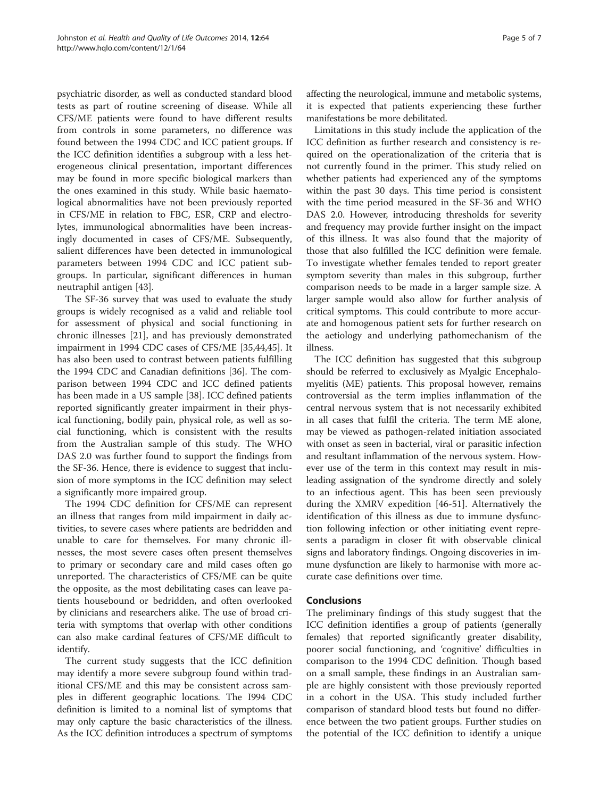psychiatric disorder, as well as conducted standard blood tests as part of routine screening of disease. While all CFS/ME patients were found to have different results from controls in some parameters, no difference was found between the 1994 CDC and ICC patient groups. If the ICC definition identifies a subgroup with a less heterogeneous clinical presentation, important differences may be found in more specific biological markers than the ones examined in this study. While basic haematological abnormalities have not been previously reported in CFS/ME in relation to FBC, ESR, CRP and electrolytes, immunological abnormalities have been increasingly documented in cases of CFS/ME. Subsequently, salient differences have been detected in immunological parameters between 1994 CDC and ICC patient subgroups. In particular, significant differences in human neutraphil antigen [[43\]](#page-6-0).

The SF-36 survey that was used to evaluate the study groups is widely recognised as a valid and reliable tool for assessment of physical and social functioning in chronic illnesses [\[21](#page-5-0)], and has previously demonstrated impairment in 1994 CDC cases of CFS/ME [[35,](#page-5-0)[44,45\]](#page-6-0). It has also been used to contrast between patients fulfilling the 1994 CDC and Canadian definitions [[36\]](#page-6-0). The comparison between 1994 CDC and ICC defined patients has been made in a US sample [\[38\]](#page-6-0). ICC defined patients reported significantly greater impairment in their physical functioning, bodily pain, physical role, as well as social functioning, which is consistent with the results from the Australian sample of this study. The WHO DAS 2.0 was further found to support the findings from the SF-36. Hence, there is evidence to suggest that inclusion of more symptoms in the ICC definition may select a significantly more impaired group.

The 1994 CDC definition for CFS/ME can represent an illness that ranges from mild impairment in daily activities, to severe cases where patients are bedridden and unable to care for themselves. For many chronic illnesses, the most severe cases often present themselves to primary or secondary care and mild cases often go unreported. The characteristics of CFS/ME can be quite the opposite, as the most debilitating cases can leave patients housebound or bedridden, and often overlooked by clinicians and researchers alike. The use of broad criteria with symptoms that overlap with other conditions can also make cardinal features of CFS/ME difficult to identify.

The current study suggests that the ICC definition may identify a more severe subgroup found within traditional CFS/ME and this may be consistent across samples in different geographic locations. The I994 CDC definition is limited to a nominal list of symptoms that may only capture the basic characteristics of the illness. As the ICC definition introduces a spectrum of symptoms

affecting the neurological, immune and metabolic systems, it is expected that patients experiencing these further manifestations be more debilitated.

Limitations in this study include the application of the ICC definition as further research and consistency is required on the operationalization of the criteria that is not currently found in the primer. This study relied on whether patients had experienced any of the symptoms within the past 30 days. This time period is consistent with the time period measured in the SF-36 and WHO DAS 2.0. However, introducing thresholds for severity and frequency may provide further insight on the impact of this illness. It was also found that the majority of those that also fulfilled the ICC definition were female. To investigate whether females tended to report greater symptom severity than males in this subgroup, further comparison needs to be made in a larger sample size. A larger sample would also allow for further analysis of critical symptoms. This could contribute to more accurate and homogenous patient sets for further research on the aetiology and underlying pathomechanism of the illness.

The ICC definition has suggested that this subgroup should be referred to exclusively as Myalgic Encephalomyelitis (ME) patients. This proposal however, remains controversial as the term implies inflammation of the central nervous system that is not necessarily exhibited in all cases that fulfil the criteria. The term ME alone, may be viewed as pathogen-related initiation associated with onset as seen in bacterial, viral or parasitic infection and resultant inflammation of the nervous system. However use of the term in this context may result in misleading assignation of the syndrome directly and solely to an infectious agent. This has been seen previously during the XMRV expedition [\[46](#page-6-0)-[51\]](#page-6-0). Alternatively the identification of this illness as due to immune dysfunction following infection or other initiating event represents a paradigm in closer fit with observable clinical signs and laboratory findings. Ongoing discoveries in immune dysfunction are likely to harmonise with more accurate case definitions over time.

## **Conclusions**

The preliminary findings of this study suggest that the ICC definition identifies a group of patients (generally females) that reported significantly greater disability, poorer social functioning, and 'cognitive' difficulties in comparison to the 1994 CDC definition. Though based on a small sample, these findings in an Australian sample are highly consistent with those previously reported in a cohort in the USA. This study included further comparison of standard blood tests but found no difference between the two patient groups. Further studies on the potential of the ICC definition to identify a unique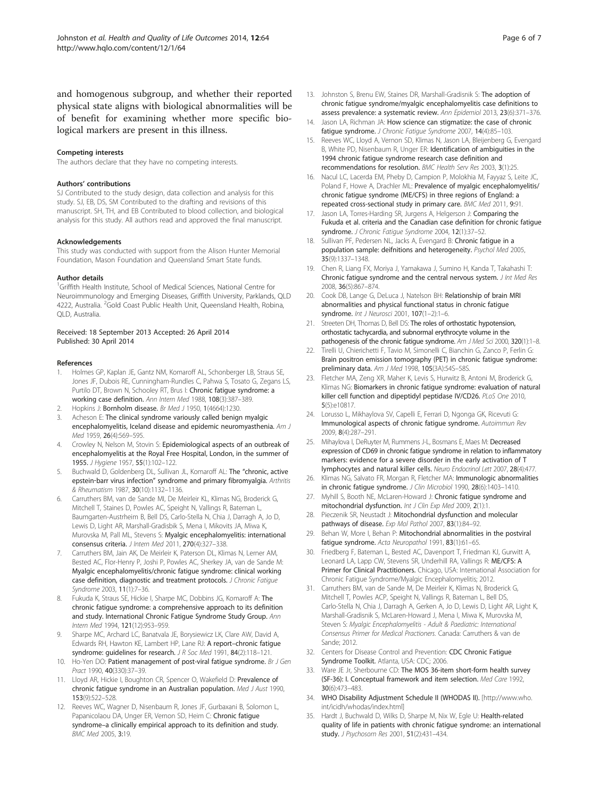<span id="page-5-0"></span>and homogenous subgroup, and whether their reported physical state aligns with biological abnormalities will be of benefit for examining whether more specific biological markers are present in this illness.

#### Competing interests

The authors declare that they have no competing interests.

#### Authors' contributions

SJ Contributed to the study design, data collection and analysis for this study. SJ, EB, DS, SM Contributed to the drafting and revisions of this manuscript. SH, TH, and EB Contributed to blood collection, and biological analysis for this study. All authors read and approved the final manuscript.

#### Acknowledgements

This study was conducted with support from the Alison Hunter Memorial Foundation, Mason Foundation and Queensland Smart State funds.

#### Author details

<sup>1</sup>Griffith Health Institute, School of Medical Sciences, National Centre for Neuroimmunology and Emerging Diseases, Griffith University, Parklands, QLD 4222, Australia. <sup>2</sup>Gold Coast Public Health Unit, Queensland Health, Robina, QLD, Australia.

#### Received: 18 September 2013 Accepted: 26 April 2014 Published: 30 April 2014

#### References

- Holmes GP, Kaplan JE, Gantz NM, Komaroff AL, Schonberger LB, Straus SE, Jones JF, Dubois RE, Cunningham-Rundles C, Pahwa S, Tosato G, Zegans LS, Purtilo DT, Brown N, Schooley RT, Brus I: Chronic fatigue syndrome: a working case definition. Ann Intern Med 1988, 108(3):387–389.
- 2. Hopkins J: **Bornholm disease.** Br Med J 1950, 1(4664):1230.
- 3. Acheson E: The clinical syndrome variously called benign myalgic encephalomyelitis, Iceland disease and epidemic neuromyasthenia. Am J Med 1959, 26(4):569-595.
- Crowley N, Nelson M, Stovin S: Epidemiological aspects of an outbreak of encephalomyelitis at the Royal Free Hospital, London, in the summer of 1955. J Hygiene 1957, 55(1):102–122.
- 5. Buchwald D, Goldenberg DL, Sullivan JL, Komaroff AL: The "chronic, active epstein-barr virus infection" syndrome and primary fibromyalgia. Arthritis & Rheumatism 1987, 30(10):1132–1136.
- Carruthers BM, van de Sande MI, De Meirleir KL, Klimas NG, Broderick G, Mitchell T, Staines D, Powles AC, Speight N, Vallings R, Bateman L, Baumgarten-Austrheim B, Bell DS, Carlo-Stella N, Chia J, Darragh A, Jo D, Lewis D, Light AR, Marshall-Gradisbik S, Mena I, Mikovits JA, Miwa K, Murovska M, Pall ML, Stevens S: Myalgic encephalomyelitis: international consensus criteria. J Intern Med 2011, 270(4):327–338.
- 7. Carruthers BM, Jain AK, De Meirleir K, Paterson DL, Klimas N, Lerner AM, Bested AC, Flor-Henry P, Joshi P, Powles AC, Sherkey JA, van de Sande M: Myalgic encephalomyelitis/chronic fatigue syndrome: clinical working case definition, diagnostic and treatment protocols. J Chronic Fatigue Syndrome 2003, 11(1):7–36.
- 8. Fukuda K, Straus SE, Hickie I, Sharpe MC, Dobbins JG, Komaroff A: The chronic fatigue syndrome: a comprehensive approach to its definition and study. International Chronic Fatigue Syndrome Study Group. Ann Intern Med 1994, 121(12):953–959.
- Sharpe MC, Archard LC, Banatvala JE, Borysiewicz LK, Clare AW, David A, Edwards RH, Hawton KE, Lambert HP, Lane RJ: A report–chronic fatigue syndrome: guidelines for research. J R Soc Med 1991, 84(2):118-121.
- 10. Ho-Yen DO: Patient management of post-viral fatigue syndrome. Br J Gen Pract 1990, 40(330):37–39.
- 11. Lloyd AR, Hickie I, Boughton CR, Spencer O, Wakefield D: Prevalence of chronic fatigue syndrome in an Australian population. Med J Aust 1990, 153(9):522–528.
- 12. Reeves WC, Wagner D, Nisenbaum R, Jones JF, Gurbaxani B, Solomon L, Papanicolaou DA, Unger ER, Vernon SD, Heim C: Chronic fatigue syndrome–a clinically empirical approach to its definition and study. BMC Med 2005, 3:19.
- 13. Johnston S, Brenu EW, Staines DR, Marshall-Gradisnik S: The adoption of chronic fatigue syndrome/myalgic encephalomyelitis case definitions to assess prevalence: a systematic review. Ann Epidemiol 2013, 23(6):371–376.
- 14. Jason LA, Richman JA: How science can stigmatize: the case of chronic fatigue syndrome. J Chronic Fatigue Syndrome 2007, 14(4):85–103.
- 15. Reeves WC, Lloyd A, Vernon SD, Klimas N, Jason LA, Bleijenberg G, Evengard B, White PD, Nisenbaum R, Unger ER: Identification of ambiguities in the 1994 chronic fatigue syndrome research case definition and recommendations for resolution. BMC Health Serv Res 2003, 3(1):25.
- 16. Nacul LC, Lacerda EM, Pheby D, Campion P, Molokhia M, Fayyaz S, Leite JC, Poland F, Howe A, Drachler ML: Prevalence of myalgic encephalomyelitis/ chronic fatigue syndrome (ME/CFS) in three regions of England: a repeated cross-sectional study in primary care. BMC Med 2011, 9:91.
- 17. Jason LA, Torres-Harding SR, Jurgens A, Helgerson J: Comparing the Fukuda et al. criteria and the Canadian case definition for chronic fatigue syndrome. J Chronic Fatigue Syndrome 2004, 12(1):37-52.
- 18. Sullivan PF, Pedersen NL, Jacks A, Evengard B: Chronic fatigue in a population sample: deifnitions and heterogeneity. Psychol Med 2005, 35(9):1337–1348.
- 19. Chen R, Liang FX, Moriya J, Yamakawa J, Sumino H, Kanda T, Takahashi T: Chronic fatigue syndrome and the central nervous system. J Int Med Res 2008, 36(5):867–874.
- 20. Cook DB, Lange G, DeLuca J, Natelson BH: Relationship of brain MRI abnormalities and physical functional status in chronic fatigue syndrome. Int J Neurosci 2001, 107(1-2):1-6.
- 21. Streeten DH, Thomas D, Bell DS: The roles of orthostatic hypotension, orthostatic tachycardia, and subnormal erythrocyte volume in the pathogenesis of the chronic fatigue syndrome. Am J Med Sci 2000, 320(1):1-8.
- 22. Tirelli U, Chierichetti F, Tavio M, Simonelli C, Bianchin G, Zanco P, Ferlin G: Brain positron emission tomography (PET) in chronic fatigue syndrome: preliminary data. Am J Med 1998, 105(3A):54S–58S.
- 23. Fletcher MA, Zeng XR, Maher K, Levis S, Hurwitz B, Antoni M, Broderick G, Klimas NG: Biomarkers in chronic fatigue syndrome: evaluation of natural killer cell function and dipeptidyl peptidase IV/CD26. PLoS One 2010, 5(5):e10817.
- 24. Lorusso L, Mikhaylova SV, Capelli E, Ferrari D, Ngonga GK, Ricevuti G: Immunological aspects of chronic fatigue syndrome. Autoimmun Rev 2009, 8(4):287–291.
- 25. Mihaylova I, DeRuyter M, Rummens J-L, Bosmans E, Maes M: Decreased expression of CD69 in chronic fatigue syndrome in relation to inflammatory markers: evidence for a severe disorder in the early activation of T lymphocytes and natural killer cells. Neuro Endocrinol Lett 2007, 28(4):477.
- 26. Klimas NG, Salvato FR, Morgan R, Fletcher MA: Immunologic abnormalities in chronic fatigue syndrome. J Clin Microbiol 1990, 28(6):1403–1410.
- 27. Myhill S, Booth NE, McLaren-Howard J: Chronic fatigue syndrome and mitochondrial dysfunction. Int J Clin Exp Med 2009, 2(1):1.
- 28. Pieczenik SR, Neustadt J: Mitochondrial dysfunction and molecular pathways of disease. Exp Mol Pathol 2007, 83(1):84–92.
- 29. Behan W, More I, Behan P: Mitochondrial abnormalities in the postviral fatigue syndrome. Acta Neuropathol 1991, 83(1):61-65.
- 30. Friedberg F, Bateman L, Bested AC, Davenport T, Friedman KJ, Gurwitt A, Leonard LA, Lapp CW, Stevens SR, Underhill RA, Vallings R: ME/CFS: A Primer for Clinical Practitioners. Chicago, USA: International Association for Chronic Fatigue Syndrome/Myalgic Encephalomyelitis; 2012.
- 31. Carruthers BM, van de Sande M, De Meirleir K, Klimas N, Broderick G, Mitchell T, Powles ACP, Speight N, Vallings R, Bateman L, Bell DS, Carlo-Stella N, Chia J, Darragh A, Gerken A, Jo D, Lewis D, Light AR, Light K, Marshall-Gradisnik S, McLaren-Howard J, Mena I, Miwa K, Murovska M, Steven S: Myalgic Encephalomyelitis - Adult & Paediatric: International Consensus Primer for Medical Practioners. Canada: Carruthers & van de Sande; 2012.
- 32. Centers for Disease Control and Prevention: CDC Chronic Fatigue Syndrome Toolkit. Atlanta, USA: CDC; 2006.
- 33. Ware JE Jr, Sherbourne CD: The MOS 36-item short-form health survey (SF-36): I. Conceptual framework and item selection. Med Care 1992, 30(6):473–483.
- 34. WHO Disability Adjustment Schedule II (WHODAS II). [[http://www.who.](http://www.who.int/icidh/whodas/index.html) [int/icidh/whodas/index.html\]](http://www.who.int/icidh/whodas/index.html)
- 35. Hardt J, Buchwald D, Wilks D, Sharpe M, Nix W, Egle U: Health-related quality of life in patients with chronic fatigue syndrome: an international study. J Psychosom Res 2001, 51(2):431-434.